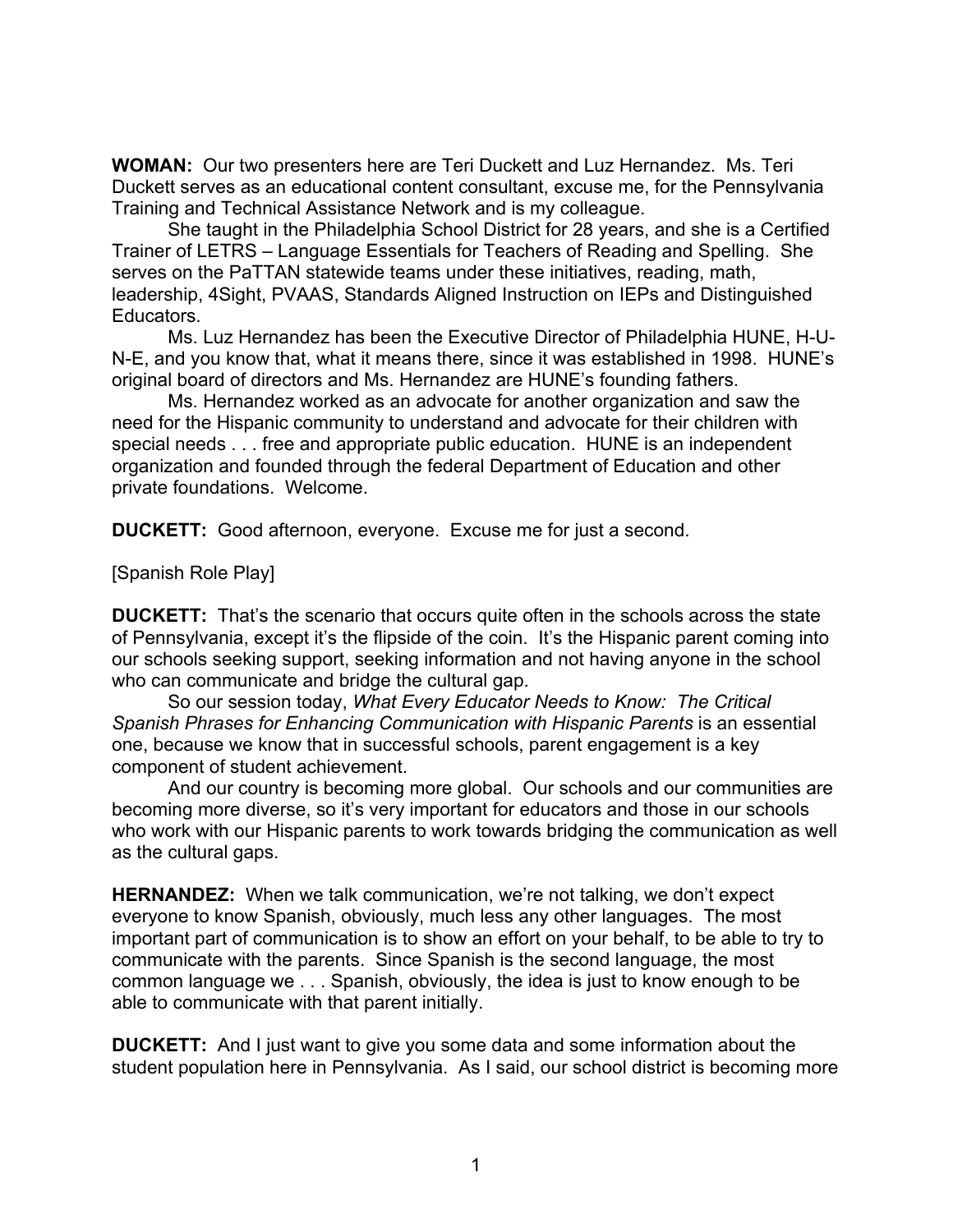**WOMAN:** Our two presenters here are Teri Duckett and Luz Hernandez. Ms. Teri Duckett serves as an educational content consultant, excuse me, for the Pennsylvania Training and Technical Assistance Network and is my colleague.

She taught in the Philadelphia School District for 28 years, and she is a Certified Trainer of LETRS – Language Essentials for Teachers of Reading and Spelling. She serves on the PaTTAN statewide teams under these initiatives, reading, math, leadership, 4Sight, PVAAS, Standards Aligned Instruction on IEPs and Distinguished Educators.

Ms. Luz Hernandez has been the Executive Director of Philadelphia HUNE, H-U-N-E, and you know that, what it means there, since it was established in 1998. HUNE's original board of directors and Ms. Hernandez are HUNE's founding fathers.

Ms. Hernandez worked as an advocate for another organization and saw the need for the Hispanic community to understand and advocate for their children with special needs . . . free and appropriate public education. HUNE is an independent organization and founded through the federal Department of Education and other private foundations. Welcome.

**DUCKETT:** Good afternoon, everyone. Excuse me for just a second.

## [Spanish Role Play]

**DUCKETT:** That's the scenario that occurs quite often in the schools across the state of Pennsylvania, except it's the flipside of the coin. It's the Hispanic parent coming into our schools seeking support, seeking information and not having anyone in the school who can communicate and bridge the cultural gap.

So our session today, *What Every Educator Needs to Know: The Critical Spanish Phrases for Enhancing Communication with Hispanic Parents* is an essential one, because we know that in successful schools, parent engagement is a key component of student achievement.

And our country is becoming more global. Our schools and our communities are becoming more diverse, so it's very important for educators and those in our schools who work with our Hispanic parents to work towards bridging the communication as well as the cultural gaps.

**HERNANDEZ:** When we talk communication, we're not talking, we don't expect everyone to know Spanish, obviously, much less any other languages. The most important part of communication is to show an effort on your behalf, to be able to try to communicate with the parents. Since Spanish is the second language, the most common language we . . . Spanish, obviously, the idea is just to know enough to be able to communicate with that parent initially.

**DUCKETT:** And I just want to give you some data and some information about the student population here in Pennsylvania. As I said, our school district is becoming more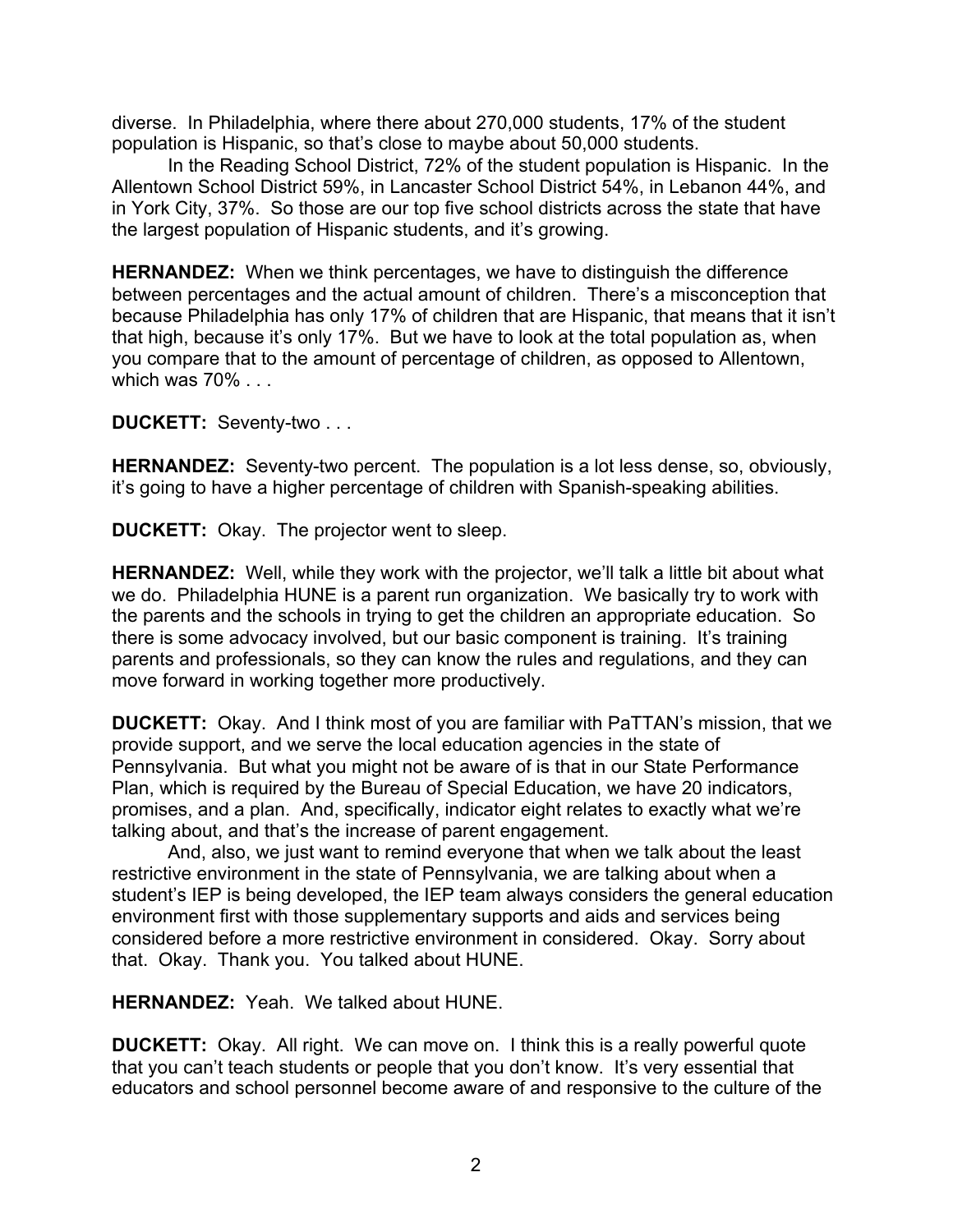diverse. In Philadelphia, where there about 270,000 students, 17% of the student population is Hispanic, so that's close to maybe about 50,000 students.

In the Reading School District, 72% of the student population is Hispanic. In the Allentown School District 59%, in Lancaster School District 54%, in Lebanon 44%, and in York City, 37%. So those are our top five school districts across the state that have the largest population of Hispanic students, and it's growing.

**HERNANDEZ:** When we think percentages, we have to distinguish the difference between percentages and the actual amount of children. There's a misconception that because Philadelphia has only 17% of children that are Hispanic, that means that it isn't that high, because it's only 17%. But we have to look at the total population as, when you compare that to the amount of percentage of children, as opposed to Allentown, which was 70% . . .

**DUCKETT:** Seventy-two . . .

**HERNANDEZ:** Seventy-two percent. The population is a lot less dense, so, obviously, it's going to have a higher percentage of children with Spanish-speaking abilities.

**DUCKETT:** Okay. The projector went to sleep.

**HERNANDEZ:** Well, while they work with the projector, we'll talk a little bit about what we do. Philadelphia HUNE is a parent run organization. We basically try to work with the parents and the schools in trying to get the children an appropriate education. So there is some advocacy involved, but our basic component is training. It's training parents and professionals, so they can know the rules and regulations, and they can move forward in working together more productively.

**DUCKETT:** Okay. And I think most of you are familiar with PaTTAN's mission, that we provide support, and we serve the local education agencies in the state of Pennsylvania. But what you might not be aware of is that in our State Performance Plan, which is required by the Bureau of Special Education, we have 20 indicators, promises, and a plan. And, specifically, indicator eight relates to exactly what we're talking about, and that's the increase of parent engagement.

And, also, we just want to remind everyone that when we talk about the least restrictive environment in the state of Pennsylvania, we are talking about when a student's IEP is being developed, the IEP team always considers the general education environment first with those supplementary supports and aids and services being considered before a more restrictive environment in considered. Okay. Sorry about that. Okay. Thank you. You talked about HUNE.

**HERNANDEZ:** Yeah. We talked about HUNE.

**DUCKETT:** Okay. All right. We can move on. I think this is a really powerful quote that you can't teach students or people that you don't know. It's very essential that educators and school personnel become aware of and responsive to the culture of the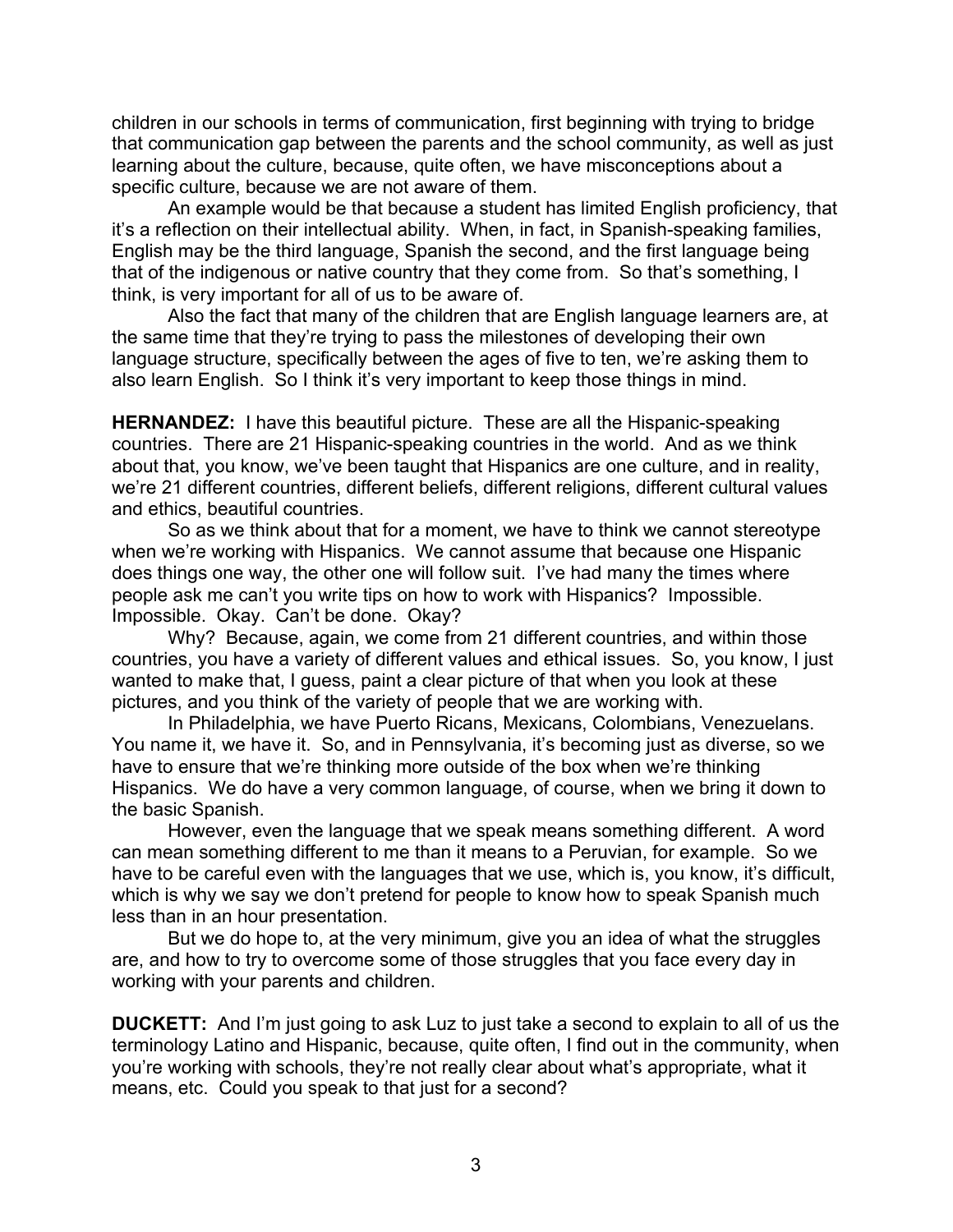children in our schools in terms of communication, first beginning with trying to bridge that communication gap between the parents and the school community, as well as just learning about the culture, because, quite often, we have misconceptions about a specific culture, because we are not aware of them.

An example would be that because a student has limited English proficiency, that it's a reflection on their intellectual ability. When, in fact, in Spanish-speaking families, English may be the third language, Spanish the second, and the first language being that of the indigenous or native country that they come from. So that's something, I think, is very important for all of us to be aware of.

Also the fact that many of the children that are English language learners are, at the same time that they're trying to pass the milestones of developing their own language structure, specifically between the ages of five to ten, we're asking them to also learn English. So I think it's very important to keep those things in mind.

**HERNANDEZ:** I have this beautiful picture. These are all the Hispanic-speaking countries. There are 21 Hispanic-speaking countries in the world. And as we think about that, you know, we've been taught that Hispanics are one culture, and in reality, we're 21 different countries, different beliefs, different religions, different cultural values and ethics, beautiful countries.

So as we think about that for a moment, we have to think we cannot stereotype when we're working with Hispanics. We cannot assume that because one Hispanic does things one way, the other one will follow suit. I've had many the times where people ask me can't you write tips on how to work with Hispanics? Impossible. Impossible. Okay. Can't be done. Okay?

Why? Because, again, we come from 21 different countries, and within those countries, you have a variety of different values and ethical issues. So, you know, I just wanted to make that, I guess, paint a clear picture of that when you look at these pictures, and you think of the variety of people that we are working with.

In Philadelphia, we have Puerto Ricans, Mexicans, Colombians, Venezuelans. You name it, we have it. So, and in Pennsylvania, it's becoming just as diverse, so we have to ensure that we're thinking more outside of the box when we're thinking Hispanics. We do have a very common language, of course, when we bring it down to the basic Spanish.

However, even the language that we speak means something different. A word can mean something different to me than it means to a Peruvian, for example. So we have to be careful even with the languages that we use, which is, you know, it's difficult, which is why we say we don't pretend for people to know how to speak Spanish much less than in an hour presentation.

But we do hope to, at the very minimum, give you an idea of what the struggles are, and how to try to overcome some of those struggles that you face every day in working with your parents and children.

**DUCKETT:** And I'm just going to ask Luz to just take a second to explain to all of us the terminology Latino and Hispanic, because, quite often, I find out in the community, when you're working with schools, they're not really clear about what's appropriate, what it means, etc. Could you speak to that just for a second?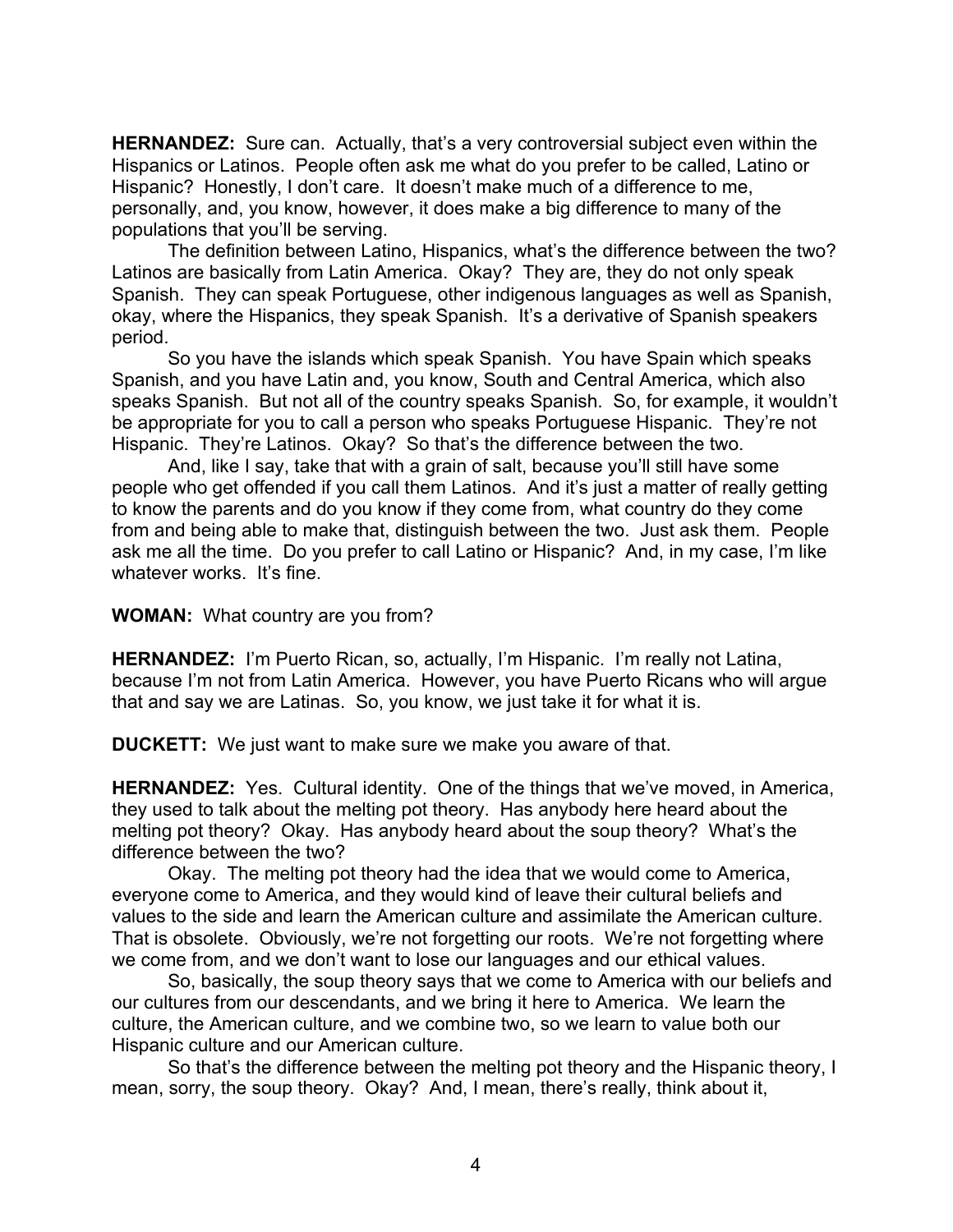**HERNANDEZ:** Sure can. Actually, that's a very controversial subject even within the Hispanics or Latinos. People often ask me what do you prefer to be called, Latino or Hispanic? Honestly, I don't care. It doesn't make much of a difference to me, personally, and, you know, however, it does make a big difference to many of the populations that you'll be serving.

The definition between Latino, Hispanics, what's the difference between the two? Latinos are basically from Latin America. Okay? They are, they do not only speak Spanish. They can speak Portuguese, other indigenous languages as well as Spanish, okay, where the Hispanics, they speak Spanish. It's a derivative of Spanish speakers period.

So you have the islands which speak Spanish. You have Spain which speaks Spanish, and you have Latin and, you know, South and Central America, which also speaks Spanish. But not all of the country speaks Spanish. So, for example, it wouldn't be appropriate for you to call a person who speaks Portuguese Hispanic. They're not Hispanic. They're Latinos. Okay? So that's the difference between the two.

And, like I say, take that with a grain of salt, because you'll still have some people who get offended if you call them Latinos. And it's just a matter of really getting to know the parents and do you know if they come from, what country do they come from and being able to make that, distinguish between the two. Just ask them. People ask me all the time. Do you prefer to call Latino or Hispanic? And, in my case, I'm like whatever works. It's fine.

**WOMAN:** What country are you from?

**HERNANDEZ:** I'm Puerto Rican, so, actually, I'm Hispanic. I'm really not Latina, because I'm not from Latin America. However, you have Puerto Ricans who will argue that and say we are Latinas. So, you know, we just take it for what it is.

**DUCKETT:** We just want to make sure we make you aware of that.

**HERNANDEZ:** Yes. Cultural identity. One of the things that we've moved, in America, they used to talk about the melting pot theory. Has anybody here heard about the melting pot theory? Okay. Has anybody heard about the soup theory? What's the difference between the two?

Okay. The melting pot theory had the idea that we would come to America, everyone come to America, and they would kind of leave their cultural beliefs and values to the side and learn the American culture and assimilate the American culture. That is obsolete. Obviously, we're not forgetting our roots. We're not forgetting where we come from, and we don't want to lose our languages and our ethical values.

So, basically, the soup theory says that we come to America with our beliefs and our cultures from our descendants, and we bring it here to America. We learn the culture, the American culture, and we combine two, so we learn to value both our Hispanic culture and our American culture.

So that's the difference between the melting pot theory and the Hispanic theory, I mean, sorry, the soup theory. Okay? And, I mean, there's really, think about it,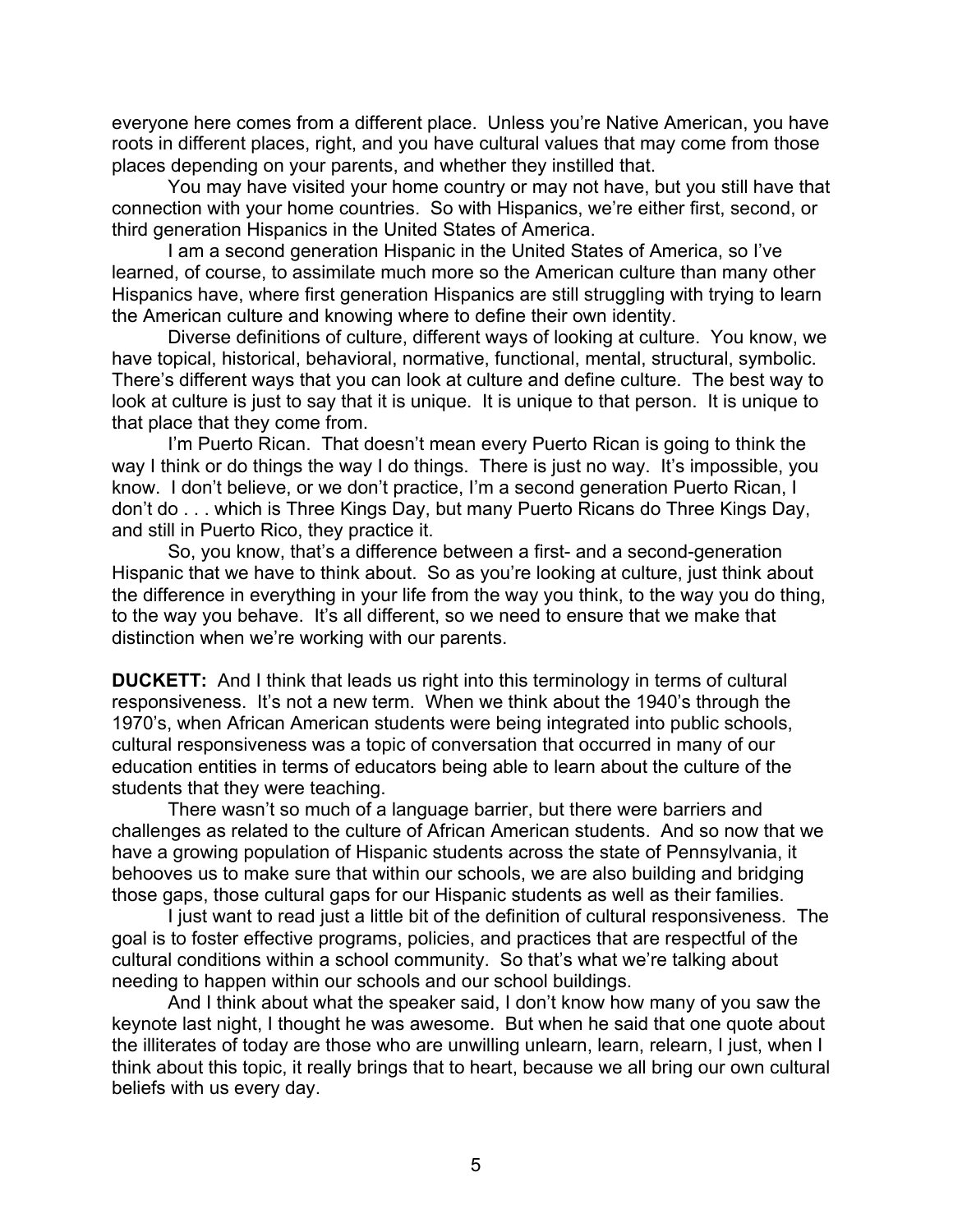everyone here comes from a different place. Unless you're Native American, you have roots in different places, right, and you have cultural values that may come from those places depending on your parents, and whether they instilled that.

You may have visited your home country or may not have, but you still have that connection with your home countries. So with Hispanics, we're either first, second, or third generation Hispanics in the United States of America.

I am a second generation Hispanic in the United States of America, so I've learned, of course, to assimilate much more so the American culture than many other Hispanics have, where first generation Hispanics are still struggling with trying to learn the American culture and knowing where to define their own identity.

Diverse definitions of culture, different ways of looking at culture. You know, we have topical, historical, behavioral, normative, functional, mental, structural, symbolic. There's different ways that you can look at culture and define culture. The best way to look at culture is just to say that it is unique. It is unique to that person. It is unique to that place that they come from.

I'm Puerto Rican. That doesn't mean every Puerto Rican is going to think the way I think or do things the way I do things. There is just no way. It's impossible, you know. I don't believe, or we don't practice, I'm a second generation Puerto Rican, I don't do . . . which is Three Kings Day, but many Puerto Ricans do Three Kings Day, and still in Puerto Rico, they practice it.

So, you know, that's a difference between a first- and a second-generation Hispanic that we have to think about. So as you're looking at culture, just think about the difference in everything in your life from the way you think, to the way you do thing, to the way you behave. It's all different, so we need to ensure that we make that distinction when we're working with our parents.

**DUCKETT:** And I think that leads us right into this terminology in terms of cultural responsiveness. It's not a new term. When we think about the 1940's through the 1970's, when African American students were being integrated into public schools, cultural responsiveness was a topic of conversation that occurred in many of our education entities in terms of educators being able to learn about the culture of the students that they were teaching.

There wasn't so much of a language barrier, but there were barriers and challenges as related to the culture of African American students. And so now that we have a growing population of Hispanic students across the state of Pennsylvania, it behooves us to make sure that within our schools, we are also building and bridging those gaps, those cultural gaps for our Hispanic students as well as their families.

I just want to read just a little bit of the definition of cultural responsiveness. The goal is to foster effective programs, policies, and practices that are respectful of the cultural conditions within a school community. So that's what we're talking about needing to happen within our schools and our school buildings.

And I think about what the speaker said, I don't know how many of you saw the keynote last night, I thought he was awesome. But when he said that one quote about the illiterates of today are those who are unwilling unlearn, learn, relearn, I just, when I think about this topic, it really brings that to heart, because we all bring our own cultural beliefs with us every day.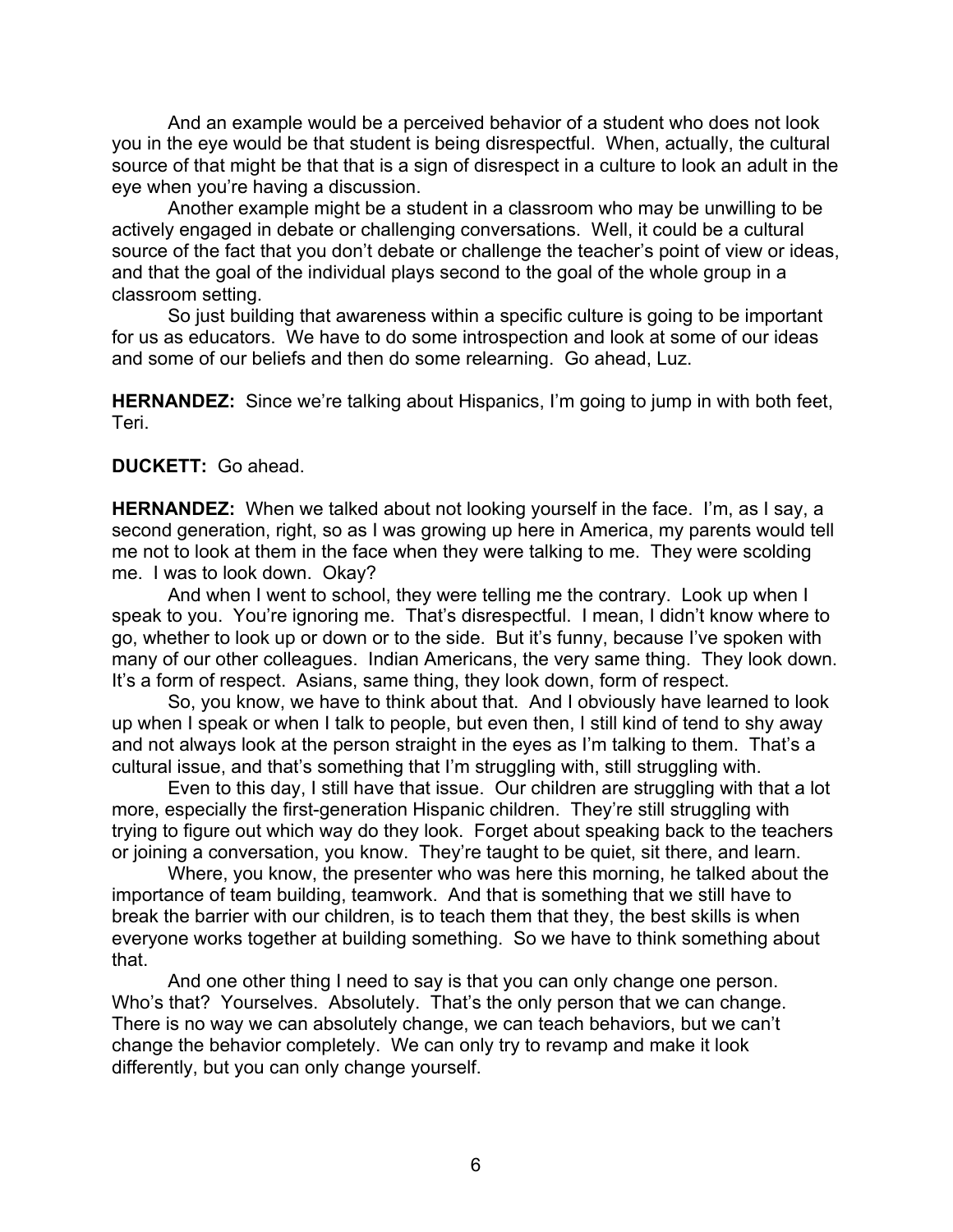And an example would be a perceived behavior of a student who does not look you in the eye would be that student is being disrespectful. When, actually, the cultural source of that might be that that is a sign of disrespect in a culture to look an adult in the eye when you're having a discussion.

Another example might be a student in a classroom who may be unwilling to be actively engaged in debate or challenging conversations. Well, it could be a cultural source of the fact that you don't debate or challenge the teacher's point of view or ideas, and that the goal of the individual plays second to the goal of the whole group in a classroom setting.

So just building that awareness within a specific culture is going to be important for us as educators. We have to do some introspection and look at some of our ideas and some of our beliefs and then do some relearning. Go ahead, Luz.

**HERNANDEZ:** Since we're talking about Hispanics, I'm going to jump in with both feet, Teri.

## **DUCKETT:** Go ahead.

**HERNANDEZ:** When we talked about not looking yourself in the face. I'm, as I say, a second generation, right, so as I was growing up here in America, my parents would tell me not to look at them in the face when they were talking to me. They were scolding me. I was to look down. Okay?

And when I went to school, they were telling me the contrary. Look up when I speak to you. You're ignoring me. That's disrespectful. I mean, I didn't know where to go, whether to look up or down or to the side. But it's funny, because I've spoken with many of our other colleagues. Indian Americans, the very same thing. They look down. It's a form of respect. Asians, same thing, they look down, form of respect.

So, you know, we have to think about that. And I obviously have learned to look up when I speak or when I talk to people, but even then, I still kind of tend to shy away and not always look at the person straight in the eyes as I'm talking to them. That's a cultural issue, and that's something that I'm struggling with, still struggling with.

Even to this day, I still have that issue. Our children are struggling with that a lot more, especially the first-generation Hispanic children. They're still struggling with trying to figure out which way do they look. Forget about speaking back to the teachers or joining a conversation, you know. They're taught to be quiet, sit there, and learn.

Where, you know, the presenter who was here this morning, he talked about the importance of team building, teamwork. And that is something that we still have to break the barrier with our children, is to teach them that they, the best skills is when everyone works together at building something. So we have to think something about that.

And one other thing I need to say is that you can only change one person. Who's that? Yourselves. Absolutely. That's the only person that we can change. There is no way we can absolutely change, we can teach behaviors, but we can't change the behavior completely. We can only try to revamp and make it look differently, but you can only change yourself.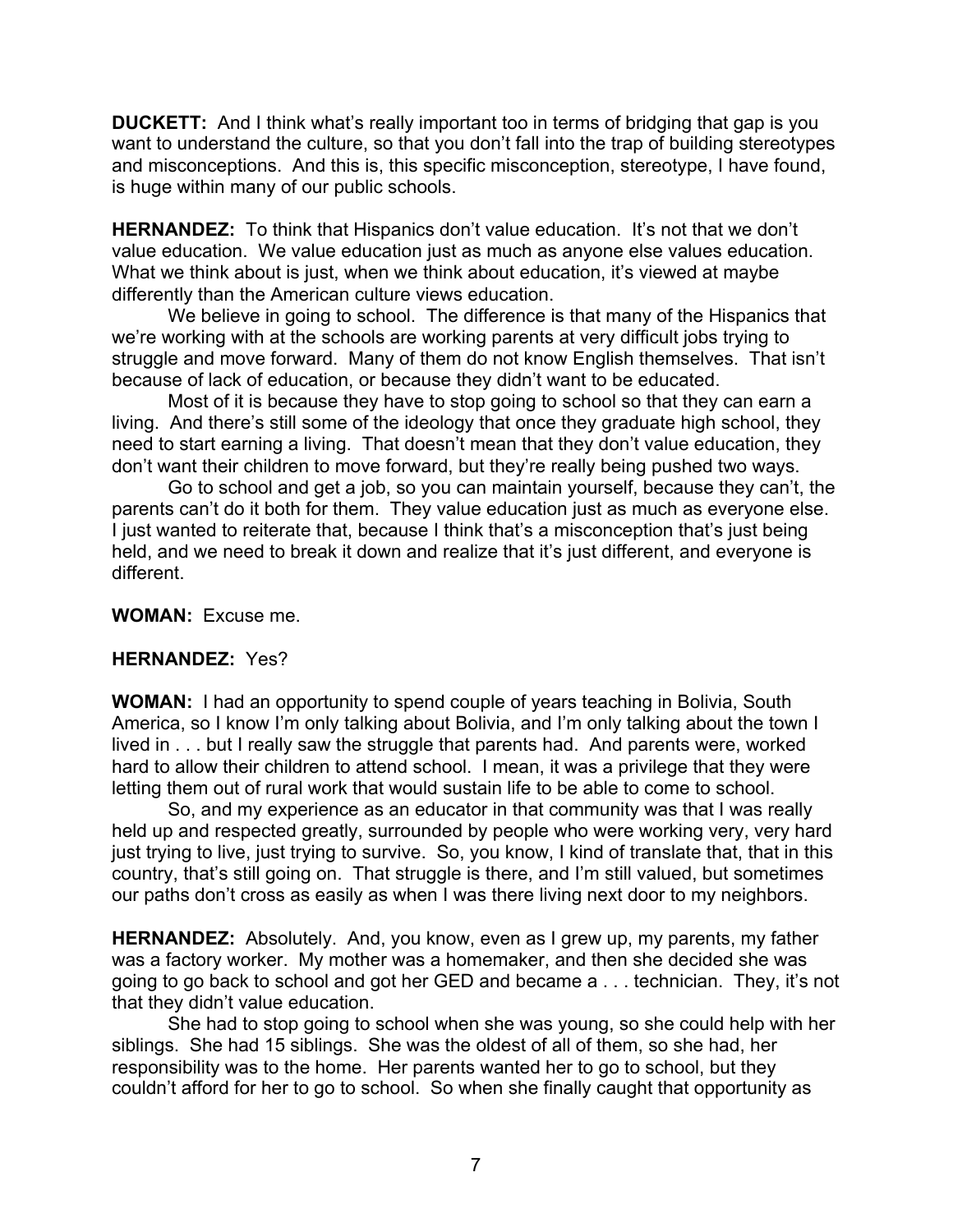**DUCKETT:** And I think what's really important too in terms of bridging that gap is you want to understand the culture, so that you don't fall into the trap of building stereotypes and misconceptions. And this is, this specific misconception, stereotype, I have found, is huge within many of our public schools.

**HERNANDEZ:** To think that Hispanics don't value education. It's not that we don't value education. We value education just as much as anyone else values education. What we think about is just, when we think about education, it's viewed at maybe differently than the American culture views education.

We believe in going to school. The difference is that many of the Hispanics that we're working with at the schools are working parents at very difficult jobs trying to struggle and move forward. Many of them do not know English themselves. That isn't because of lack of education, or because they didn't want to be educated.

Most of it is because they have to stop going to school so that they can earn a living. And there's still some of the ideology that once they graduate high school, they need to start earning a living. That doesn't mean that they don't value education, they don't want their children to move forward, but they're really being pushed two ways.

Go to school and get a job, so you can maintain yourself, because they can't, the parents can't do it both for them. They value education just as much as everyone else. I just wanted to reiterate that, because I think that's a misconception that's just being held, and we need to break it down and realize that it's just different, and everyone is different.

**WOMAN:** Excuse me.

## **HERNANDEZ:** Yes?

**WOMAN:** I had an opportunity to spend couple of years teaching in Bolivia, South America, so I know I'm only talking about Bolivia, and I'm only talking about the town I lived in . . . but I really saw the struggle that parents had. And parents were, worked hard to allow their children to attend school. I mean, it was a privilege that they were letting them out of rural work that would sustain life to be able to come to school.

So, and my experience as an educator in that community was that I was really held up and respected greatly, surrounded by people who were working very, very hard just trying to live, just trying to survive. So, you know, I kind of translate that, that in this country, that's still going on. That struggle is there, and I'm still valued, but sometimes our paths don't cross as easily as when I was there living next door to my neighbors.

**HERNANDEZ:** Absolutely. And, you know, even as I grew up, my parents, my father was a factory worker. My mother was a homemaker, and then she decided she was going to go back to school and got her GED and became a . . . technician. They, it's not that they didn't value education.

She had to stop going to school when she was young, so she could help with her siblings. She had 15 siblings. She was the oldest of all of them, so she had, her responsibility was to the home. Her parents wanted her to go to school, but they couldn't afford for her to go to school. So when she finally caught that opportunity as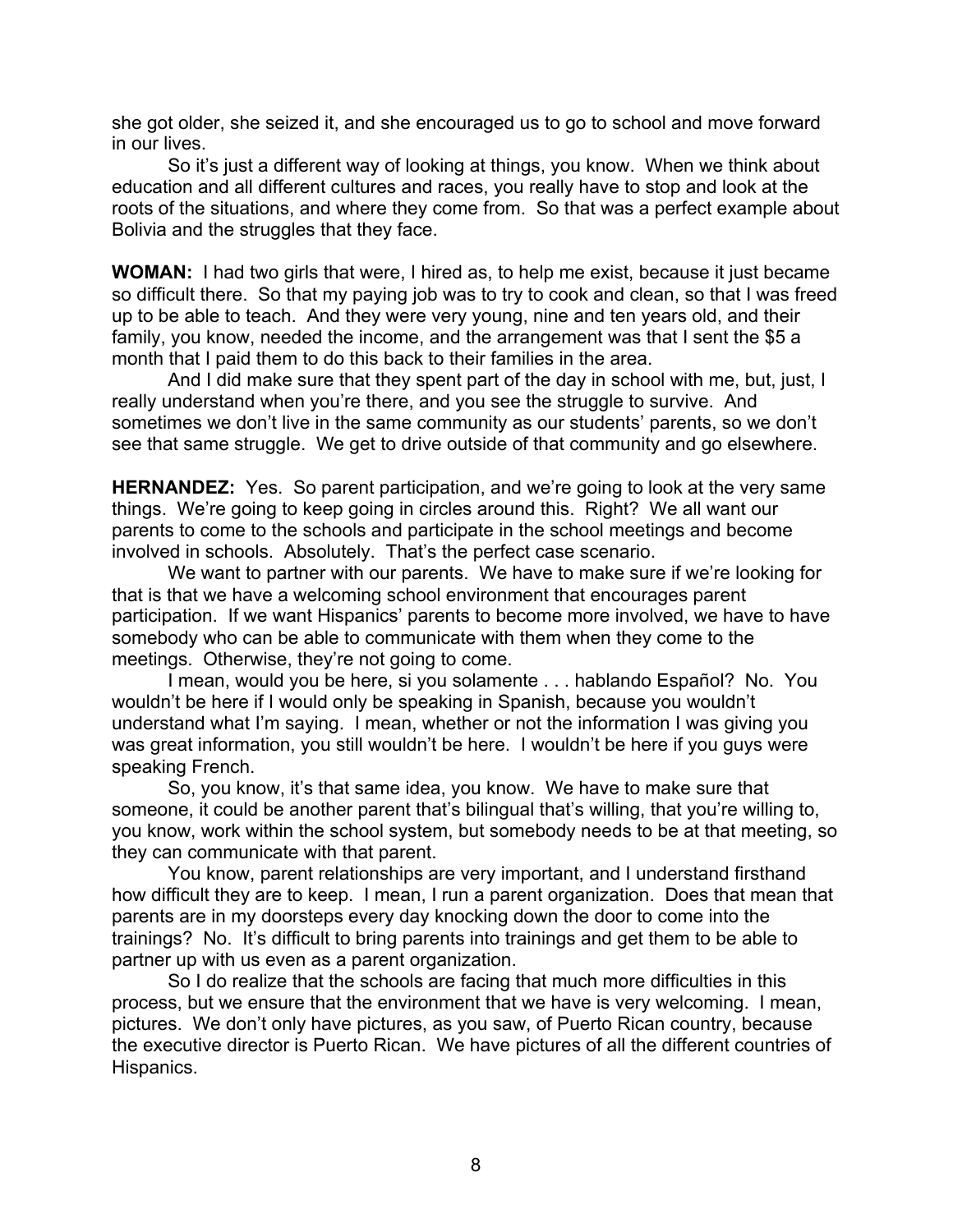she got older, she seized it, and she encouraged us to go to school and move forward in our lives.

So it's just a different way of looking at things, you know. When we think about education and all different cultures and races, you really have to stop and look at the roots of the situations, and where they come from. So that was a perfect example about Bolivia and the struggles that they face.

**WOMAN:** I had two girls that were, I hired as, to help me exist, because it just became so difficult there. So that my paying job was to try to cook and clean, so that I was freed up to be able to teach. And they were very young, nine and ten years old, and their family, you know, needed the income, and the arrangement was that I sent the \$5 a month that I paid them to do this back to their families in the area.

And I did make sure that they spent part of the day in school with me, but, just, I really understand when you're there, and you see the struggle to survive. And sometimes we don't live in the same community as our students' parents, so we don't see that same struggle. We get to drive outside of that community and go elsewhere.

**HERNANDEZ:** Yes. So parent participation, and we're going to look at the very same things. We're going to keep going in circles around this. Right? We all want our parents to come to the schools and participate in the school meetings and become involved in schools. Absolutely. That's the perfect case scenario.

We want to partner with our parents. We have to make sure if we're looking for that is that we have a welcoming school environment that encourages parent participation. If we want Hispanics' parents to become more involved, we have to have somebody who can be able to communicate with them when they come to the meetings. Otherwise, they're not going to come.

I mean, would you be here, si you solamente . . . hablando Español? No. You wouldn't be here if I would only be speaking in Spanish, because you wouldn't understand what I'm saying. I mean, whether or not the information I was giving you was great information, you still wouldn't be here. I wouldn't be here if you guys were speaking French.

So, you know, it's that same idea, you know. We have to make sure that someone, it could be another parent that's bilingual that's willing, that you're willing to, you know, work within the school system, but somebody needs to be at that meeting, so they can communicate with that parent.

You know, parent relationships are very important, and I understand firsthand how difficult they are to keep. I mean, I run a parent organization. Does that mean that parents are in my doorsteps every day knocking down the door to come into the trainings? No. It's difficult to bring parents into trainings and get them to be able to partner up with us even as a parent organization.

So I do realize that the schools are facing that much more difficulties in this process, but we ensure that the environment that we have is very welcoming. I mean, pictures. We don't only have pictures, as you saw, of Puerto Rican country, because the executive director is Puerto Rican. We have pictures of all the different countries of Hispanics.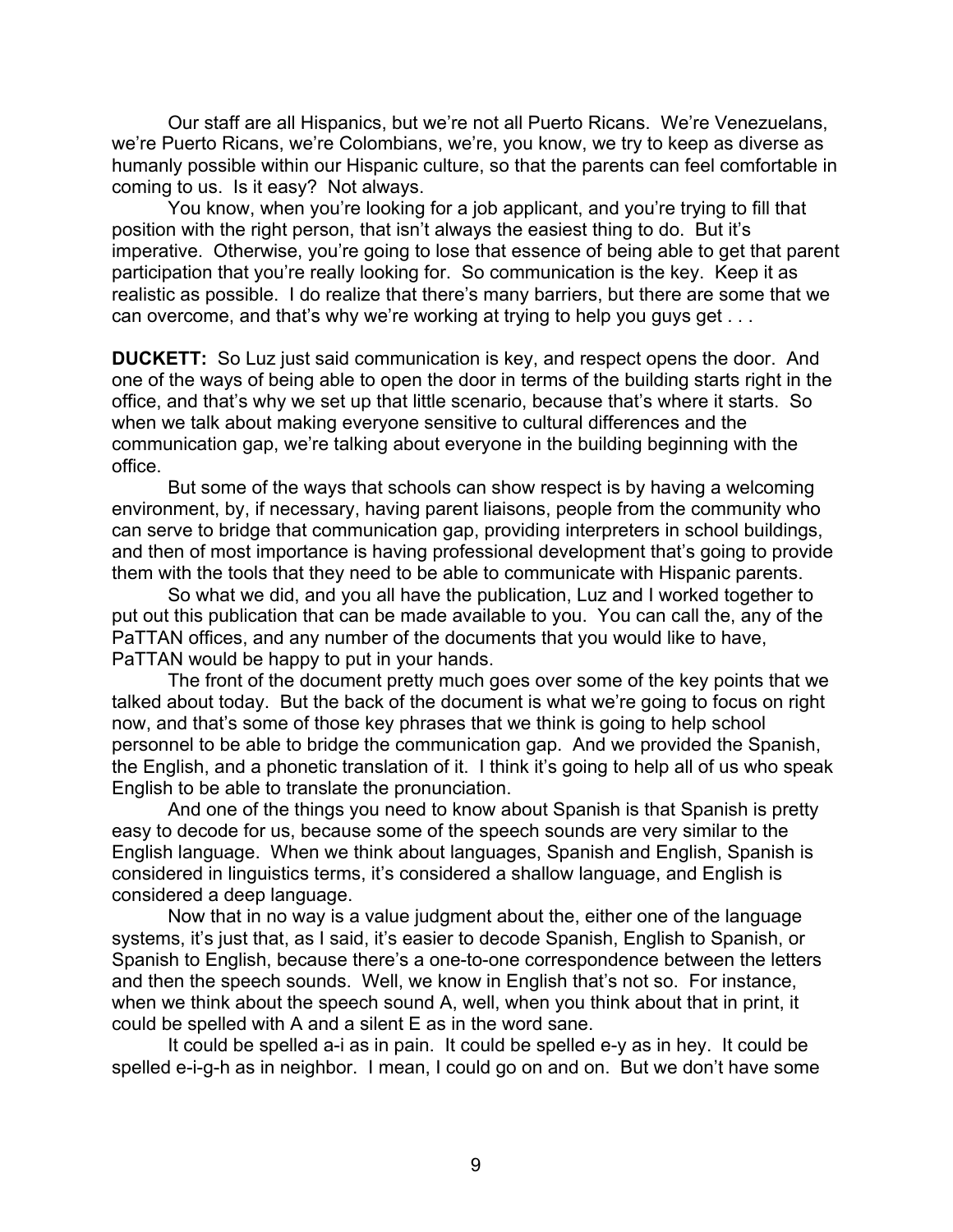Our staff are all Hispanics, but we're not all Puerto Ricans. We're Venezuelans, we're Puerto Ricans, we're Colombians, we're, you know, we try to keep as diverse as humanly possible within our Hispanic culture, so that the parents can feel comfortable in coming to us. Is it easy? Not always.

You know, when you're looking for a job applicant, and you're trying to fill that position with the right person, that isn't always the easiest thing to do. But it's imperative. Otherwise, you're going to lose that essence of being able to get that parent participation that you're really looking for. So communication is the key. Keep it as realistic as possible. I do realize that there's many barriers, but there are some that we can overcome, and that's why we're working at trying to help you guys get . . .

**DUCKETT:** So Luz just said communication is key, and respect opens the door. And one of the ways of being able to open the door in terms of the building starts right in the office, and that's why we set up that little scenario, because that's where it starts. So when we talk about making everyone sensitive to cultural differences and the communication gap, we're talking about everyone in the building beginning with the office.

But some of the ways that schools can show respect is by having a welcoming environment, by, if necessary, having parent liaisons, people from the community who can serve to bridge that communication gap, providing interpreters in school buildings, and then of most importance is having professional development that's going to provide them with the tools that they need to be able to communicate with Hispanic parents.

So what we did, and you all have the publication, Luz and I worked together to put out this publication that can be made available to you. You can call the, any of the PaTTAN offices, and any number of the documents that you would like to have, PaTTAN would be happy to put in your hands.

The front of the document pretty much goes over some of the key points that we talked about today. But the back of the document is what we're going to focus on right now, and that's some of those key phrases that we think is going to help school personnel to be able to bridge the communication gap. And we provided the Spanish, the English, and a phonetic translation of it. I think it's going to help all of us who speak English to be able to translate the pronunciation.

And one of the things you need to know about Spanish is that Spanish is pretty easy to decode for us, because some of the speech sounds are very similar to the English language. When we think about languages, Spanish and English, Spanish is considered in linguistics terms, it's considered a shallow language, and English is considered a deep language.

Now that in no way is a value judgment about the, either one of the language systems, it's just that, as I said, it's easier to decode Spanish, English to Spanish, or Spanish to English, because there's a one-to-one correspondence between the letters and then the speech sounds. Well, we know in English that's not so. For instance, when we think about the speech sound A, well, when you think about that in print, it could be spelled with A and a silent E as in the word sane.

It could be spelled a-i as in pain. It could be spelled e-y as in hey. It could be spelled e-i-g-h as in neighbor. I mean, I could go on and on. But we don't have some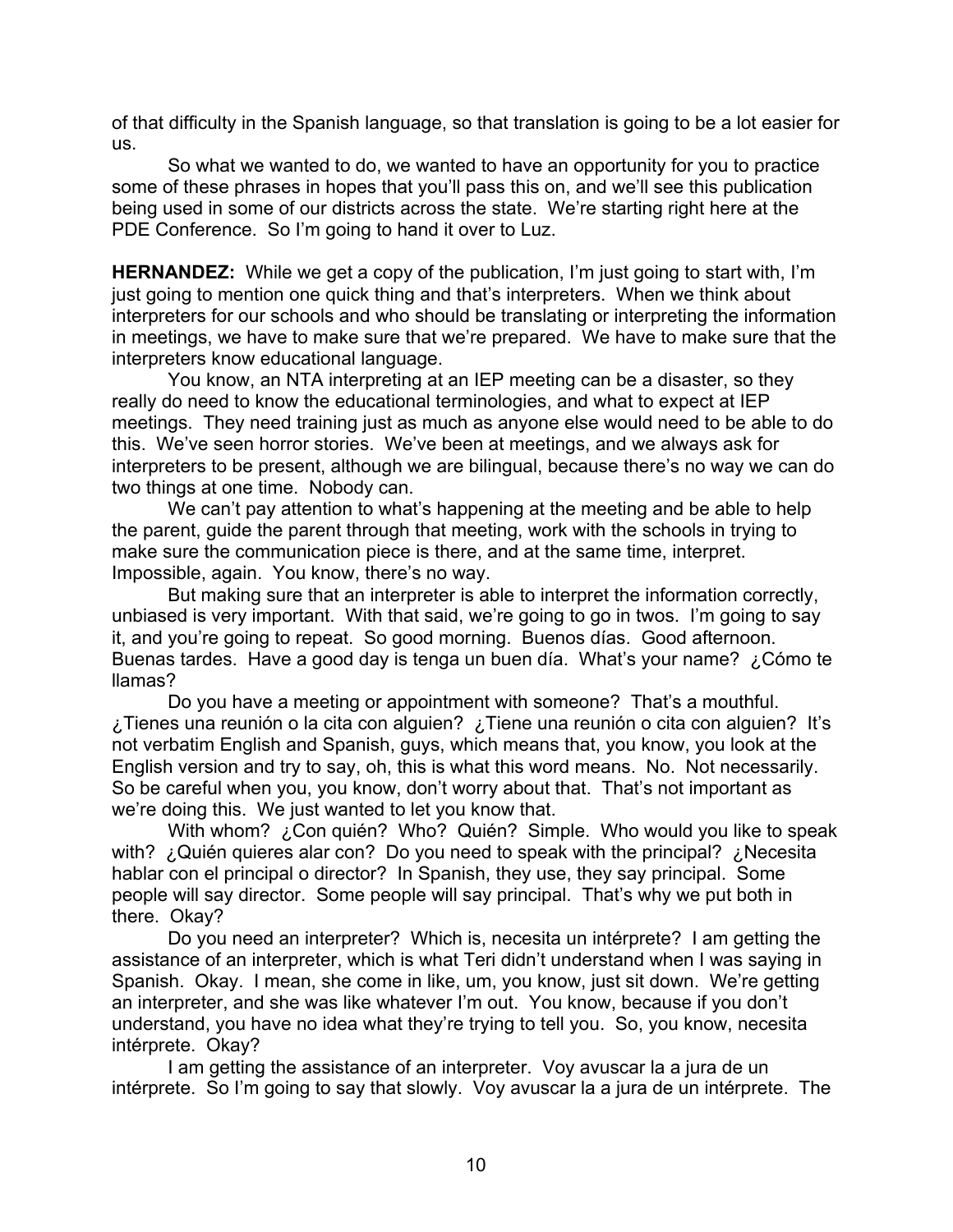of that difficulty in the Spanish language, so that translation is going to be a lot easier for us.

So what we wanted to do, we wanted to have an opportunity for you to practice some of these phrases in hopes that you'll pass this on, and we'll see this publication being used in some of our districts across the state. We're starting right here at the PDE Conference. So I'm going to hand it over to Luz.

**HERNANDEZ:** While we get a copy of the publication, I'm just going to start with, I'm just going to mention one quick thing and that's interpreters. When we think about interpreters for our schools and who should be translating or interpreting the information in meetings, we have to make sure that we're prepared. We have to make sure that the interpreters know educational language.

You know, an NTA interpreting at an IEP meeting can be a disaster, so they really do need to know the educational terminologies, and what to expect at IEP meetings. They need training just as much as anyone else would need to be able to do this. We've seen horror stories. We've been at meetings, and we always ask for interpreters to be present, although we are bilingual, because there's no way we can do two things at one time. Nobody can.

We can't pay attention to what's happening at the meeting and be able to help the parent, guide the parent through that meeting, work with the schools in trying to make sure the communication piece is there, and at the same time, interpret. Impossible, again. You know, there's no way.

But making sure that an interpreter is able to interpret the information correctly, unbiased is very important. With that said, we're going to go in twos. I'm going to say it, and you're going to repeat. So good morning. Buenos días. Good afternoon. Buenas tardes. Have a good day is tenga un buen día. What's your name? ¿Cómo te llamas?

Do you have a meeting or appointment with someone? That's a mouthful. ¿Tienes una reunión o la cita con alguien? ¿Tiene una reunión o cita con alguien? It's not verbatim English and Spanish, guys, which means that, you know, you look at the English version and try to say, oh, this is what this word means. No. Not necessarily. So be careful when you, you know, don't worry about that. That's not important as we're doing this. We just wanted to let you know that.

With whom? ¿Con quién? Who? Quién? Simple. Who would you like to speak with? ¿Quién quieres alar con? Do you need to speak with the principal? ¿Necesita hablar con el principal o director? In Spanish, they use, they say principal. Some people will say director. Some people will say principal. That's why we put both in there. Okay?

Do you need an interpreter? Which is, necesita un intérprete? I am getting the assistance of an interpreter, which is what Teri didn't understand when I was saying in Spanish. Okay. I mean, she come in like, um, you know, just sit down. We're getting an interpreter, and she was like whatever I'm out. You know, because if you don't understand, you have no idea what they're trying to tell you. So, you know, necesita intérprete. Okay?

I am getting the assistance of an interpreter. Voy avuscar la a jura de un intérprete. So I'm going to say that slowly. Voy avuscar la a jura de un intérprete. The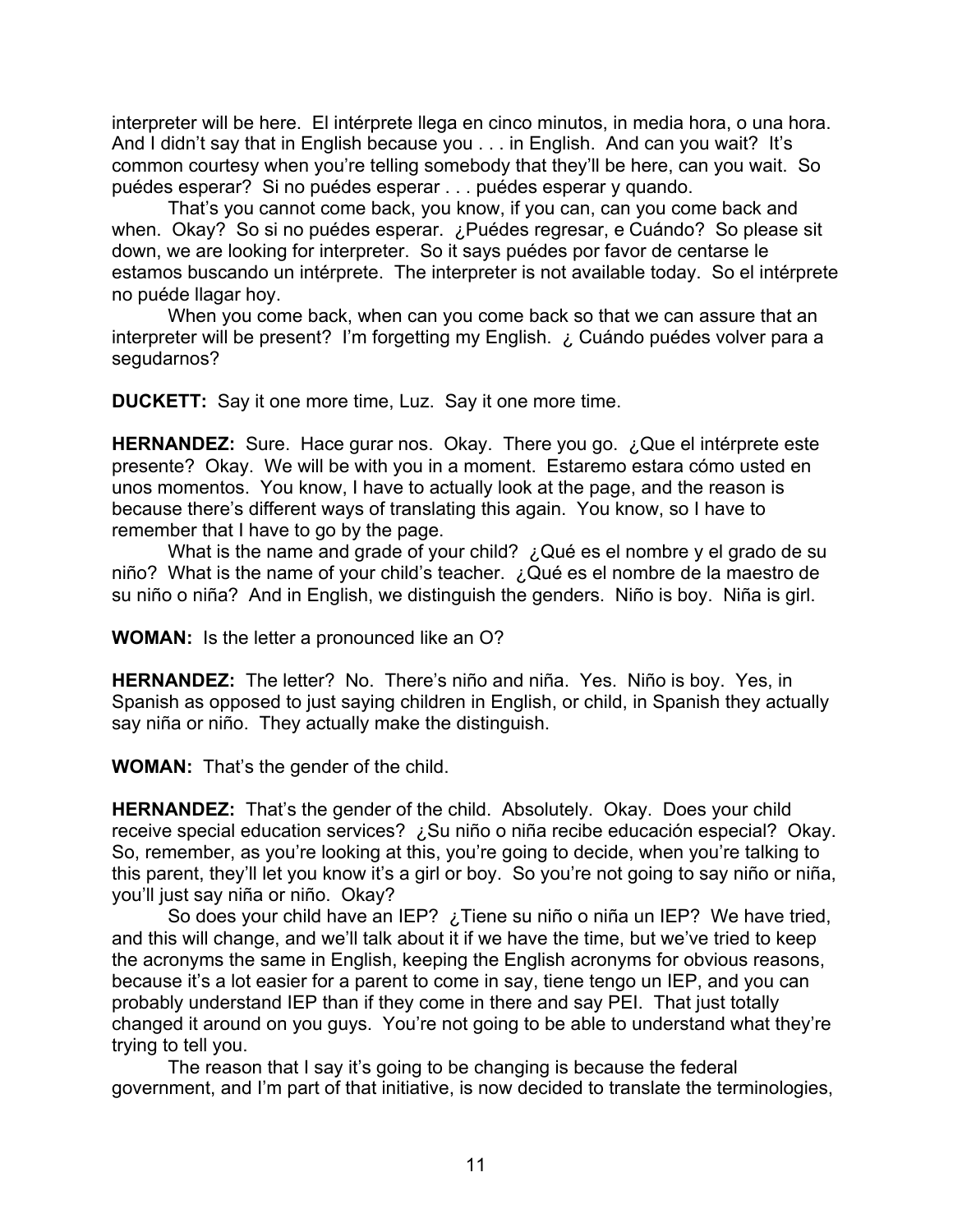interpreter will be here. El intérprete llega en cinco minutos, in media hora, o una hora. And I didn't say that in English because you . . . in English. And can you wait? It's common courtesy when you're telling somebody that they'll be here, can you wait. So puédes esperar? Si no puédes esperar . . . puédes esperar y quando.

That's you cannot come back, you know, if you can, can you come back and when. Okay? So si no puédes esperar. ¿Puédes regresar, e Cuándo? So please sit down, we are looking for interpreter. So it says puédes por favor de centarse le estamos buscando un intérprete. The interpreter is not available today. So el intérprete no puéde llagar hoy.

When you come back, when can you come back so that we can assure that an interpreter will be present? I'm forgetting my English. ¿ Cuándo puédes volver para a segudarnos?

**DUCKETT:** Say it one more time, Luz. Say it one more time.

HERNANDEZ: Sure. Hace gurar nos. Okay. There you go. ¿Que el intérprete este presente? Okay. We will be with you in a moment. Estaremo estara cómo usted en unos momentos. You know, I have to actually look at the page, and the reason is because there's different ways of translating this again. You know, so I have to remember that I have to go by the page.

What is the name and grade of your child? ¿Qué es el nombre y el grado de su niño? What is the name of your child's teacher. ¿Qué es el nombre de la maestro de su niño o niña? And in English, we distinguish the genders. Niño is boy. Niña is girl.

**WOMAN:** Is the letter a pronounced like an O?

**HERNANDEZ:** The letter? No. There's niño and niña. Yes. Niño is boy. Yes, in Spanish as opposed to just saying children in English, or child, in Spanish they actually say niña or niño. They actually make the distinguish.

**WOMAN:** That's the gender of the child.

**HERNANDEZ:** That's the gender of the child. Absolutely. Okay. Does your child receive special education services? ¿Su niño o niña recibe educación especial? Okay. So, remember, as you're looking at this, you're going to decide, when you're talking to this parent, they'll let you know it's a girl or boy. So you're not going to say niño or niña, you'll just say niña or niño. Okay?

So does your child have an IEP? ¿Tiene su niño o niña un IEP? We have tried, and this will change, and we'll talk about it if we have the time, but we've tried to keep the acronyms the same in English, keeping the English acronyms for obvious reasons, because it's a lot easier for a parent to come in say, tiene tengo un IEP, and you can probably understand IEP than if they come in there and say PEI. That just totally changed it around on you guys. You're not going to be able to understand what they're trying to tell you.

The reason that I say it's going to be changing is because the federal government, and I'm part of that initiative, is now decided to translate the terminologies,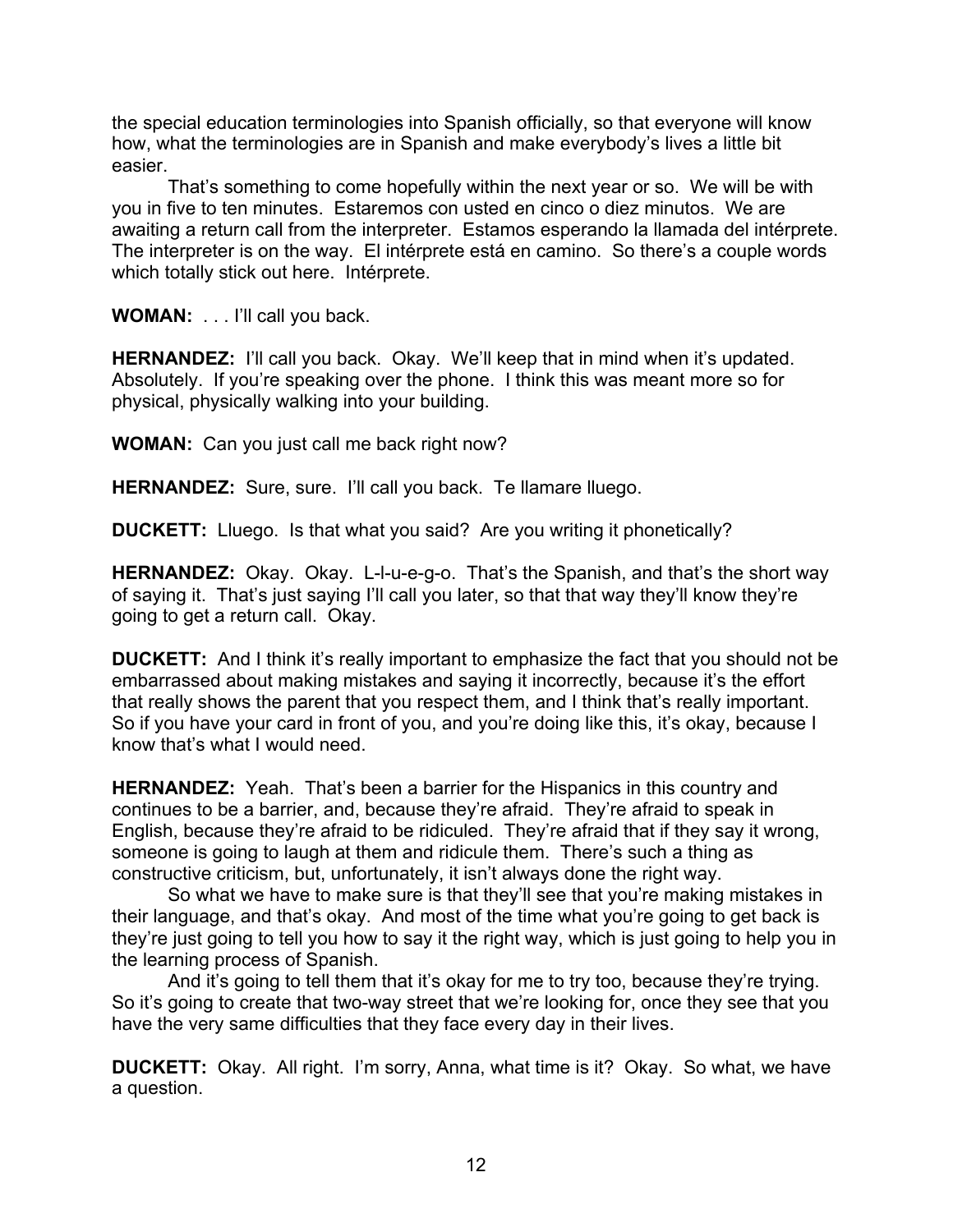the special education terminologies into Spanish officially, so that everyone will know how, what the terminologies are in Spanish and make everybody's lives a little bit easier.

That's something to come hopefully within the next year or so. We will be with you in five to ten minutes. Estaremos con usted en cinco o diez minutos. We are awaiting a return call from the interpreter. Estamos esperando la llamada del intérprete. The interpreter is on the way. El intérprete está en camino. So there's a couple words which totally stick out here. Intérprete.

**WOMAN:** . . . I'll call you back.

**HERNANDEZ:** I'll call you back. Okay. We'll keep that in mind when it's updated. Absolutely. If you're speaking over the phone. I think this was meant more so for physical, physically walking into your building.

**WOMAN:** Can you just call me back right now?

**HERNANDEZ:** Sure, sure. I'll call you back. Te llamare lluego.

**DUCKETT:** Lluego. Is that what you said? Are you writing it phonetically?

**HERNANDEZ:** Okay. Okay. L-l-u-e-g-o. That's the Spanish, and that's the short way of saying it. That's just saying I'll call you later, so that that way they'll know they're going to get a return call. Okay.

**DUCKETT:** And I think it's really important to emphasize the fact that you should not be embarrassed about making mistakes and saying it incorrectly, because it's the effort that really shows the parent that you respect them, and I think that's really important. So if you have your card in front of you, and you're doing like this, it's okay, because I know that's what I would need.

**HERNANDEZ:** Yeah. That's been a barrier for the Hispanics in this country and continues to be a barrier, and, because they're afraid. They're afraid to speak in English, because they're afraid to be ridiculed. They're afraid that if they say it wrong, someone is going to laugh at them and ridicule them. There's such a thing as constructive criticism, but, unfortunately, it isn't always done the right way.

So what we have to make sure is that they'll see that you're making mistakes in their language, and that's okay. And most of the time what you're going to get back is they're just going to tell you how to say it the right way, which is just going to help you in the learning process of Spanish.

And it's going to tell them that it's okay for me to try too, because they're trying. So it's going to create that two-way street that we're looking for, once they see that you have the very same difficulties that they face every day in their lives.

**DUCKETT:** Okay. All right. I'm sorry, Anna, what time is it? Okay. So what, we have a question.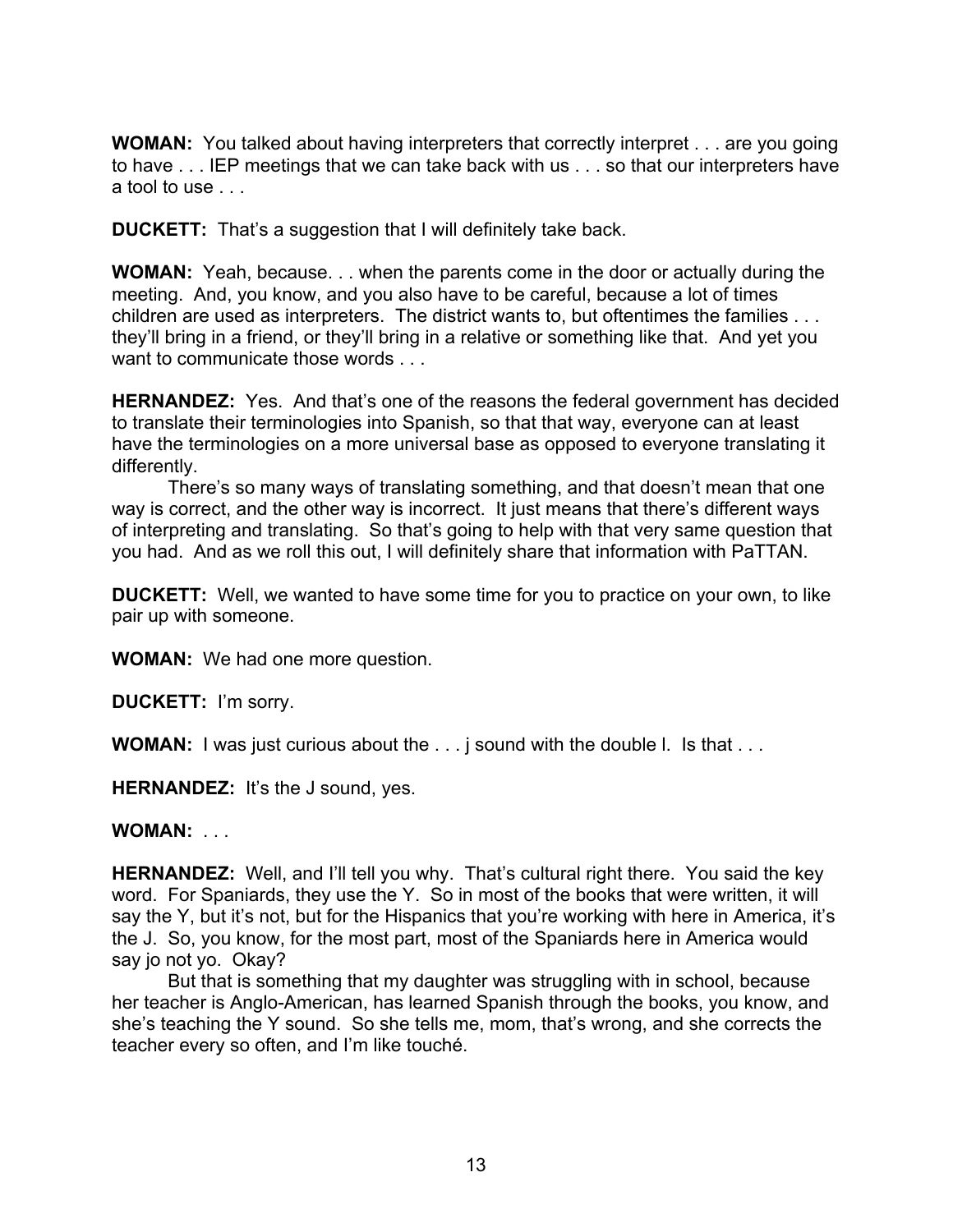**WOMAN:** You talked about having interpreters that correctly interpret . . . are you going to have . . . IEP meetings that we can take back with us . . . so that our interpreters have a tool to use . . .

**DUCKETT:** That's a suggestion that I will definitely take back.

**WOMAN:** Yeah, because. . . when the parents come in the door or actually during the meeting. And, you know, and you also have to be careful, because a lot of times children are used as interpreters. The district wants to, but oftentimes the families . . . they'll bring in a friend, or they'll bring in a relative or something like that. And yet you want to communicate those words . . .

**HERNANDEZ:** Yes. And that's one of the reasons the federal government has decided to translate their terminologies into Spanish, so that that way, everyone can at least have the terminologies on a more universal base as opposed to everyone translating it differently.

There's so many ways of translating something, and that doesn't mean that one way is correct, and the other way is incorrect. It just means that there's different ways of interpreting and translating. So that's going to help with that very same question that you had. And as we roll this out, I will definitely share that information with PaTTAN.

**DUCKETT:** Well, we wanted to have some time for you to practice on your own, to like pair up with someone.

**WOMAN:** We had one more question.

**DUCKETT:** I'm sorry.

**WOMAN:** I was just curious about the . . . j sound with the double l. Is that . . .

**HERNANDEZ:** It's the J sound, yes.

**WOMAN:** . . .

**HERNANDEZ:** Well, and I'll tell you why. That's cultural right there. You said the key word. For Spaniards, they use the Y. So in most of the books that were written, it will say the Y, but it's not, but for the Hispanics that you're working with here in America, it's the J. So, you know, for the most part, most of the Spaniards here in America would say jo not yo. Okay?

But that is something that my daughter was struggling with in school, because her teacher is Anglo-American, has learned Spanish through the books, you know, and she's teaching the Y sound. So she tells me, mom, that's wrong, and she corrects the teacher every so often, and I'm like touché.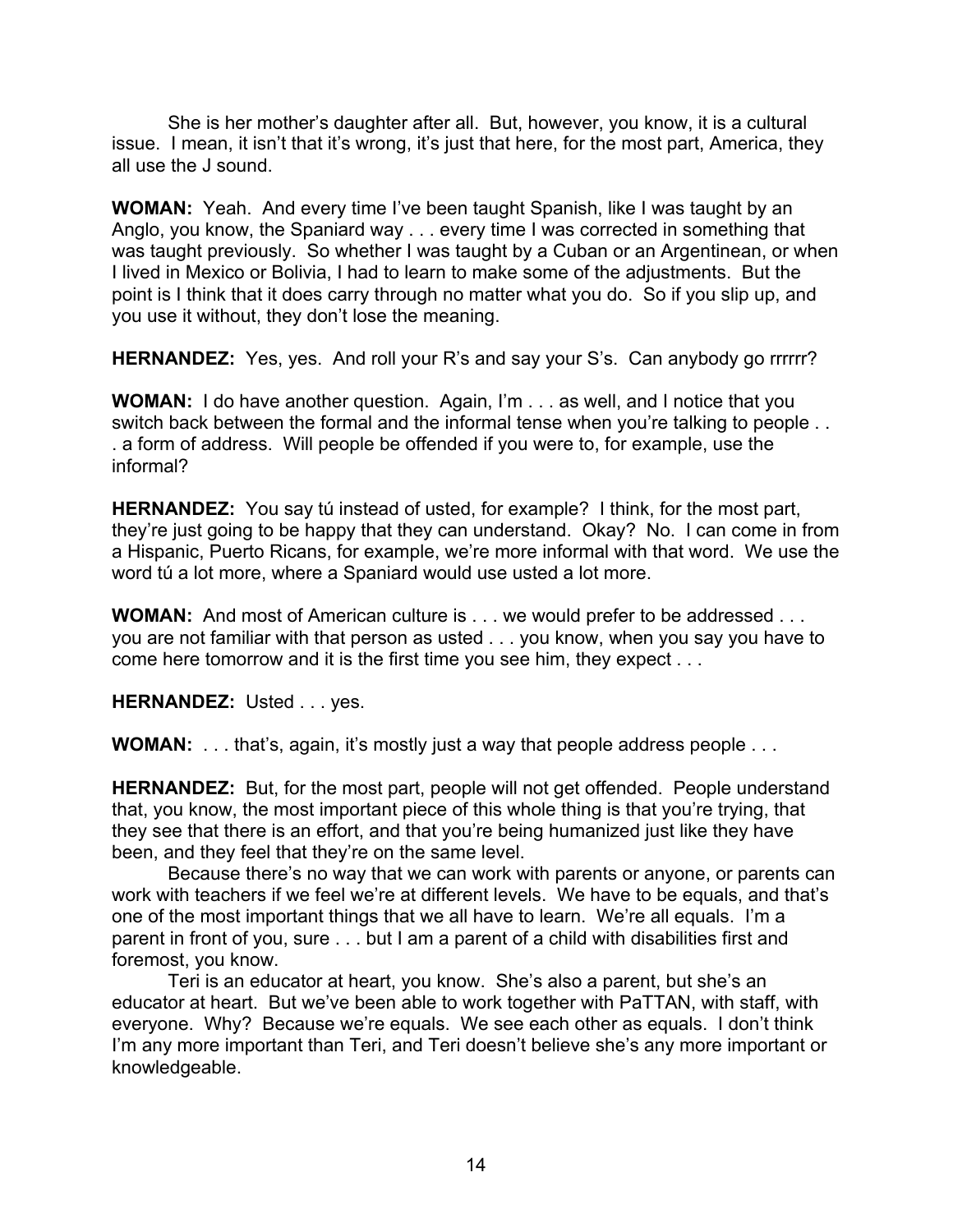She is her mother's daughter after all. But, however, you know, it is a cultural issue. I mean, it isn't that it's wrong, it's just that here, for the most part, America, they all use the J sound.

**WOMAN:** Yeah. And every time I've been taught Spanish, like I was taught by an Anglo, you know, the Spaniard way . . . every time I was corrected in something that was taught previously. So whether I was taught by a Cuban or an Argentinean, or when I lived in Mexico or Bolivia, I had to learn to make some of the adjustments. But the point is I think that it does carry through no matter what you do. So if you slip up, and you use it without, they don't lose the meaning.

**HERNANDEZ:** Yes, yes. And roll your R's and say your S's. Can anybody go rrrrrr?

**WOMAN:** I do have another question. Again, I'm . . . as well, and I notice that you switch back between the formal and the informal tense when you're talking to people . . . a form of address. Will people be offended if you were to, for example, use the informal?

**HERNANDEZ:** You say tú instead of usted, for example? I think, for the most part, they're just going to be happy that they can understand. Okay? No. I can come in from a Hispanic, Puerto Ricans, for example, we're more informal with that word. We use the word tú a lot more, where a Spaniard would use usted a lot more.

**WOMAN:** And most of American culture is . . . we would prefer to be addressed . . . you are not familiar with that person as usted . . . you know, when you say you have to come here tomorrow and it is the first time you see him, they expect . . .

**HERNANDEZ:** Usted . . . yes.

**WOMAN:** . . . that's, again, it's mostly just a way that people address people . . .

**HERNANDEZ:** But, for the most part, people will not get offended. People understand that, you know, the most important piece of this whole thing is that you're trying, that they see that there is an effort, and that you're being humanized just like they have been, and they feel that they're on the same level.

Because there's no way that we can work with parents or anyone, or parents can work with teachers if we feel we're at different levels. We have to be equals, and that's one of the most important things that we all have to learn. We're all equals. I'm a parent in front of you, sure . . . but I am a parent of a child with disabilities first and foremost, you know.

Teri is an educator at heart, you know. She's also a parent, but she's an educator at heart. But we've been able to work together with PaTTAN, with staff, with everyone. Why? Because we're equals. We see each other as equals. I don't think I'm any more important than Teri, and Teri doesn't believe she's any more important or knowledgeable.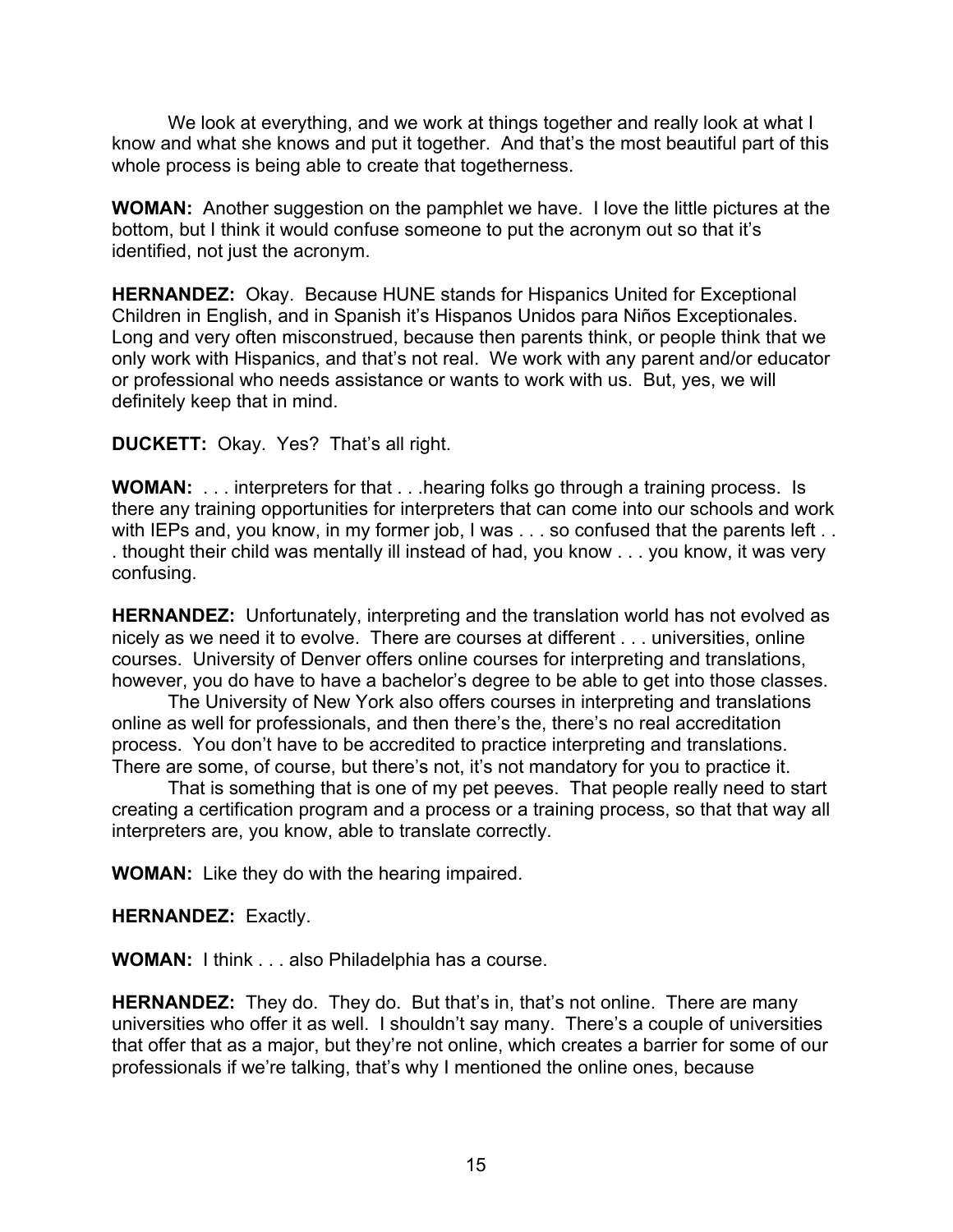We look at everything, and we work at things together and really look at what I know and what she knows and put it together. And that's the most beautiful part of this whole process is being able to create that togetherness.

**WOMAN:** Another suggestion on the pamphlet we have. I love the little pictures at the bottom, but I think it would confuse someone to put the acronym out so that it's identified, not just the acronym.

**HERNANDEZ:** Okay. Because HUNE stands for Hispanics United for Exceptional Children in English, and in Spanish it's Hispanos Unidos para Niños Exceptionales. Long and very often misconstrued, because then parents think, or people think that we only work with Hispanics, and that's not real. We work with any parent and/or educator or professional who needs assistance or wants to work with us. But, yes, we will definitely keep that in mind.

**DUCKETT:** Okay. Yes? That's all right.

**WOMAN:** . . . interpreters for that . . .hearing folks go through a training process. Is there any training opportunities for interpreters that can come into our schools and work with IEPs and, you know, in my former job, I was . . . so confused that the parents left . . . thought their child was mentally ill instead of had, you know . . . you know, it was very confusing.

**HERNANDEZ:** Unfortunately, interpreting and the translation world has not evolved as nicely as we need it to evolve. There are courses at different . . . universities, online courses. University of Denver offers online courses for interpreting and translations, however, you do have to have a bachelor's degree to be able to get into those classes.

The University of New York also offers courses in interpreting and translations online as well for professionals, and then there's the, there's no real accreditation process. You don't have to be accredited to practice interpreting and translations. There are some, of course, but there's not, it's not mandatory for you to practice it.

That is something that is one of my pet peeves. That people really need to start creating a certification program and a process or a training process, so that that way all interpreters are, you know, able to translate correctly.

**WOMAN:** Like they do with the hearing impaired.

**HERNANDEZ:** Exactly.

**WOMAN:** I think . . . also Philadelphia has a course.

**HERNANDEZ:** They do. They do. But that's in, that's not online. There are many universities who offer it as well. I shouldn't say many. There's a couple of universities that offer that as a major, but they're not online, which creates a barrier for some of our professionals if we're talking, that's why I mentioned the online ones, because